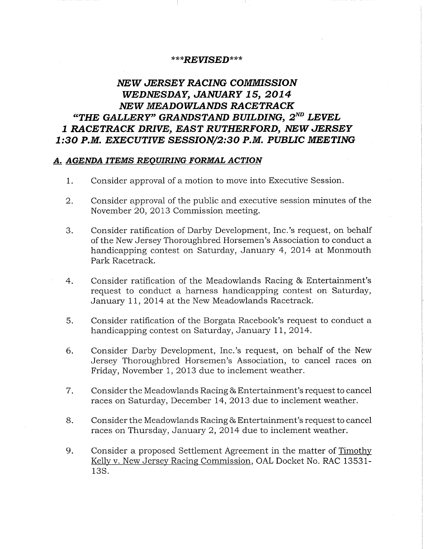## \*\*\*REVISED\*\*\*

## NEW JERSEY RACING COMMISSION WEDNESDAY, JANUARY 15, 2014 NEW MEADOWLANDS RACETRACK "THE GALLERY" GRANDSTAND BUILDING,  $2^{ND}$  LEVEL 1 RACETRACK DRIVE, EAST RUTHERFORD, NEW JERSEY 1:30 P.M. EXECUTIVE SESSION/2:30 P.M. PUBLIC MEETING

## A. AGENDA ITEMS REQUIRING FORMAL ACTION

- 1. Consider approval of a motion to move into Executive Session.
- 2. Consider approval of the public and executive session minutes of the November 20, 2013 Commission meeting.
- 3. Consider ratification of Darby Development, Inc.'s request, on behalf of the New Jersey Thoroughbred Horsemen's Association to conduct a handicapping contest on Saturday, January 4, 2014 at Monmouth Park Racetrack.
- 4. Consider ratification of the Meadowlands Racing & Entertainment's request to conduct a harness handicapping contest on Saturday, January 11, 2014 at the New Meadowlands Racetrack.
- 5. Consider ratification of the Borgata Racebook's request to conduct a handicapping contest on Saturday, January 11, 2014.
- 6. Consider Darby Development, Inc.'s request, on behalf of the New Jersey Thoroughbred Horsemen's Association, to cancel races on Friday, November 1, 2013 due to inclement weather.
- 7. Consider the Meadowlands Racing & Entertainment's request to cancel races on Saturday, December 14, 2013 due to inclement weather.
- 8. Consider the Meadowlands Racing & Entertainment's request to cancel races on Thursday, January 2, 2014 due to inclement weather.
- 9. Consider a proposed Settlement Agreement in the matter of Timothy Kelly v. New Jersey Racing Commission, OAL Docket No. RAC 13531- 135.